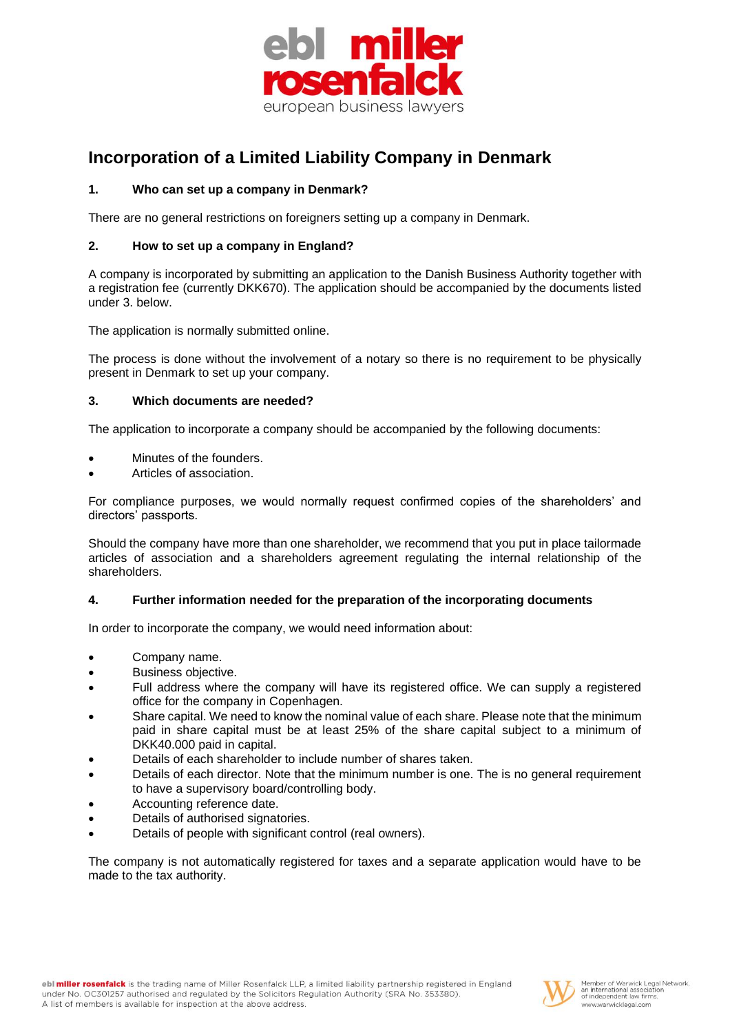

# **Incorporation of a Limited Liability Company in Denmark**

# **1. Who can set up a company in Denmark?**

There are no general restrictions on foreigners setting up a company in Denmark.

## **2. How to set up a company in England?**

A company is incorporated by submitting an application to the Danish Business Authority together with a registration fee (currently DKK670). The application should be accompanied by the documents listed under 3. below.

The application is normally submitted online.

The process is done without the involvement of a notary so there is no requirement to be physically present in Denmark to set up your company.

### **3. Which documents are needed?**

The application to incorporate a company should be accompanied by the following documents:

- Minutes of the founders.
- Articles of association.

For compliance purposes, we would normally request confirmed copies of the shareholders' and directors' passports.

Should the company have more than one shareholder, we recommend that you put in place tailormade articles of association and a shareholders agreement regulating the internal relationship of the shareholders.

### **4. Further information needed for the preparation of the incorporating documents**

In order to incorporate the company, we would need information about:

- Company name.
- Business objective.
- Full address where the company will have its registered office. We can supply a registered office for the company in Copenhagen.
- Share capital. We need to know the nominal value of each share. Please note that the minimum paid in share capital must be at least 25% of the share capital subject to a minimum of DKK40.000 paid in capital.
- Details of each shareholder to include number of shares taken.
- Details of each director. Note that the minimum number is one. The is no general requirement to have a supervisory board/controlling body.
- Accounting reference date.
- Details of authorised signatories.
- Details of people with significant control (real owners).

The company is not automatically registered for taxes and a separate application would have to be made to the tax authority.